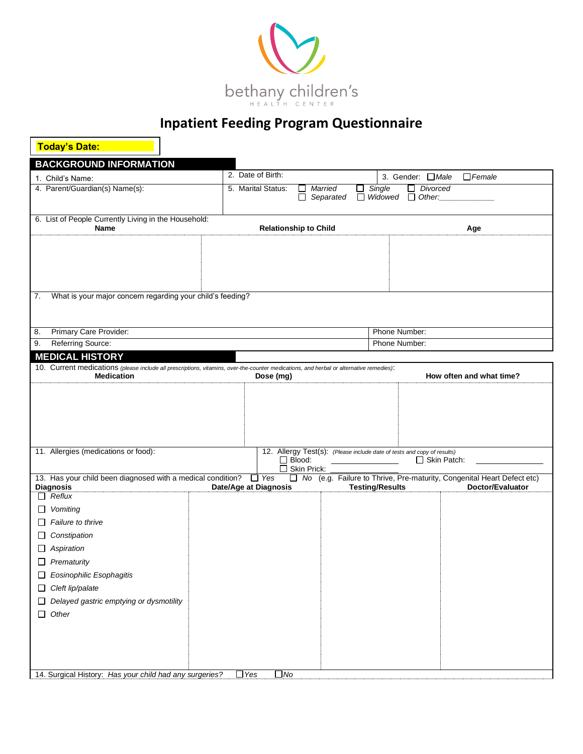

| <b>Today's Date:</b>                                                                                                                                         |                       |                    |                              |                           |                                                                         |                                                                        |
|--------------------------------------------------------------------------------------------------------------------------------------------------------------|-----------------------|--------------------|------------------------------|---------------------------|-------------------------------------------------------------------------|------------------------------------------------------------------------|
| <b>BACKGROUND INFORMATION</b>                                                                                                                                |                       |                    |                              |                           |                                                                         |                                                                        |
| 1. Child's Name:                                                                                                                                             | 2. Date of Birth:     |                    |                              |                           | 3. Gender: □ Male                                                       | $\Box$ Female                                                          |
| 4. Parent/Guardian(s) Name(s):                                                                                                                               |                       | 5. Marital Status: | ப<br>$\Box$                  | Married<br>ப<br>Separated | Single<br>$\Box$ Widowed                                                | $\Box$ Divorced<br>$\Box$ Other:                                       |
| 6. List of People Currently Living in the Household:<br>Name                                                                                                 |                       |                    | <b>Relationship to Child</b> |                           |                                                                         | Age                                                                    |
|                                                                                                                                                              |                       |                    |                              |                           |                                                                         |                                                                        |
| What is your major concern regarding your child's feeding?<br>7.                                                                                             |                       |                    |                              |                           |                                                                         |                                                                        |
| Primary Care Provider:<br>8.                                                                                                                                 |                       |                    |                              |                           | Phone Number:                                                           |                                                                        |
| Referring Source:<br>9.                                                                                                                                      |                       |                    |                              |                           | Phone Number:                                                           |                                                                        |
| <b>MEDICAL HISTORY</b>                                                                                                                                       |                       |                    |                              |                           |                                                                         |                                                                        |
| 10. Current medications (please include all prescriptions, vitamins, over-the-counter medications, and herbal or alternative remedies):<br><b>Medication</b> |                       | Dose (mg)          |                              |                           |                                                                         | How often and what time?                                               |
| 11. Allergies (medications or food):                                                                                                                         |                       |                    |                              |                           | 12. Allergy Test(s): (Please include date of tests and copy of results) |                                                                        |
|                                                                                                                                                              |                       | П                  | $\Box$ Blood:<br>Skin Prick: |                           |                                                                         | □ Skin Patch:                                                          |
| 13. Has your child been diagnosed with a medical condition?                                                                                                  |                       | $\Box$ Yes         |                              |                           |                                                                         | No (e.g. Failure to Thrive, Pre-maturity, Congenital Heart Defect etc) |
| <b>Diagnosis</b><br>$\Box$ Reflux                                                                                                                            | Date/Age at Diagnosis |                    |                              |                           | <b>Testing/Results</b>                                                  | Doctor/Evaluator                                                       |
| Vomiting<br>ப                                                                                                                                                |                       |                    |                              |                           |                                                                         |                                                                        |
| Failure to thrive                                                                                                                                            |                       |                    |                              |                           |                                                                         |                                                                        |
| Constipation                                                                                                                                                 |                       |                    |                              |                           |                                                                         |                                                                        |
| Aspiration                                                                                                                                                   |                       |                    |                              |                           |                                                                         |                                                                        |
| Prematurity                                                                                                                                                  |                       |                    |                              |                           |                                                                         |                                                                        |
| Eosinophilic Esophagitis                                                                                                                                     |                       |                    |                              |                           |                                                                         |                                                                        |
| Cleft lip/palate                                                                                                                                             |                       |                    |                              |                           |                                                                         |                                                                        |
| Delayed gastric emptying or dysmotility                                                                                                                      |                       |                    |                              |                           |                                                                         |                                                                        |
| $\Box$ Other                                                                                                                                                 |                       |                    |                              |                           |                                                                         |                                                                        |
|                                                                                                                                                              |                       |                    |                              |                           |                                                                         |                                                                        |
|                                                                                                                                                              |                       |                    |                              |                           |                                                                         |                                                                        |
|                                                                                                                                                              |                       |                    |                              |                           |                                                                         |                                                                        |
|                                                                                                                                                              |                       |                    |                              |                           |                                                                         |                                                                        |
| 14. Surgical History: Has your child had any surgeries?                                                                                                      | $\Box$ Yes            | $\square$ No       |                              |                           |                                                                         |                                                                        |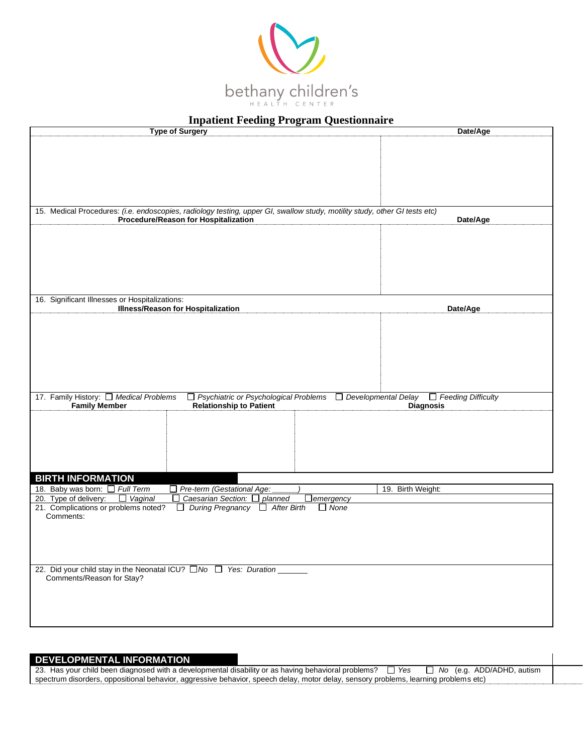

| <b>Type of Surgery</b>                                                                                                                                                    | Date/Age                                      |
|---------------------------------------------------------------------------------------------------------------------------------------------------------------------------|-----------------------------------------------|
|                                                                                                                                                                           |                                               |
|                                                                                                                                                                           |                                               |
| 15. Medical Procedures: (i.e. endoscopies, radiology testing, upper GI, swallow study, motility study, other GI tests etc)                                                |                                               |
| Procedure/Reason for Hospitalization                                                                                                                                      | Date/Age                                      |
|                                                                                                                                                                           |                                               |
|                                                                                                                                                                           |                                               |
|                                                                                                                                                                           |                                               |
|                                                                                                                                                                           |                                               |
| 16. Significant Illnesses or Hospitalizations:                                                                                                                            |                                               |
| <b>Illness/Reason for Hospitalization</b>                                                                                                                                 | Date/Age                                      |
|                                                                                                                                                                           |                                               |
|                                                                                                                                                                           |                                               |
|                                                                                                                                                                           |                                               |
|                                                                                                                                                                           |                                               |
|                                                                                                                                                                           |                                               |
|                                                                                                                                                                           |                                               |
| 17. Family History: Medical Problems<br>$\Box$ Psychiatric or Psychological Problems $\Box$ Developmental Delay<br><b>Relationship to Patient</b><br><b>Family Member</b> | $\Box$ Feeding Difficulty<br><b>Diagnosis</b> |
|                                                                                                                                                                           |                                               |
|                                                                                                                                                                           |                                               |
|                                                                                                                                                                           |                                               |
|                                                                                                                                                                           |                                               |
|                                                                                                                                                                           |                                               |
| <b>BIRTH INFORMATION</b><br>18. Baby was born: $\Box$ Full Term<br>Pre-term (Gestational Age:                                                                             | 19. Birth Weight:                             |
| 20. Type of delivery:<br>Caesarian Section: □ planned<br>$\Box$ Vaginal<br>$\Box$<br>$\Box$ emergency                                                                     |                                               |
| 21. Complications or problems noted?<br>□ During Pregnancy □ After Birth<br>$\Box$ None<br>Comments:                                                                      |                                               |
|                                                                                                                                                                           |                                               |
|                                                                                                                                                                           |                                               |
|                                                                                                                                                                           |                                               |
| 22. Did your child stay in the Neonatal ICU? □ No □ Yes: Duration ______                                                                                                  |                                               |
| Comments/Reason for Stay?                                                                                                                                                 |                                               |
|                                                                                                                                                                           |                                               |
|                                                                                                                                                                           |                                               |
|                                                                                                                                                                           |                                               |

#### **DEVELOPMENTAL INFORMATION**

23. Has your child been diagnosed with a developmental disability or as having behavioral problems? □ Yes □ No (e.g. ADD/ADHD, autism spectrum disorders, oppositional behavior, aggressive behavior, speech delay, motor delay, sensory problems, learning problems etc)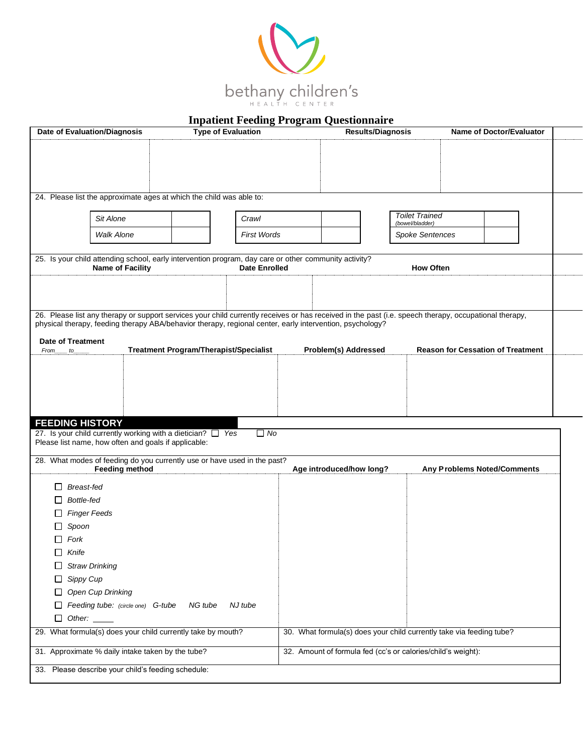

| <b>Date of Evaluation/Diagnosis</b><br><b>Type of Evaluation</b>                                      |                                                                                                                                                                                                                                                                   | <b>Results/Diagnosis</b>                                             |                                                              |  |                             | <b>Name of Doctor/Evaluator</b> |  |                                          |  |  |
|-------------------------------------------------------------------------------------------------------|-------------------------------------------------------------------------------------------------------------------------------------------------------------------------------------------------------------------------------------------------------------------|----------------------------------------------------------------------|--------------------------------------------------------------|--|-----------------------------|---------------------------------|--|------------------------------------------|--|--|
|                                                                                                       |                                                                                                                                                                                                                                                                   |                                                                      |                                                              |  |                             |                                 |  |                                          |  |  |
|                                                                                                       |                                                                                                                                                                                                                                                                   |                                                                      |                                                              |  |                             |                                 |  |                                          |  |  |
|                                                                                                       |                                                                                                                                                                                                                                                                   |                                                                      |                                                              |  |                             |                                 |  |                                          |  |  |
|                                                                                                       | 24. Please list the approximate ages at which the child was able to:                                                                                                                                                                                              |                                                                      |                                                              |  |                             |                                 |  |                                          |  |  |
|                                                                                                       |                                                                                                                                                                                                                                                                   |                                                                      |                                                              |  |                             | <b>Toilet Trained</b>           |  |                                          |  |  |
|                                                                                                       | Sit Alone                                                                                                                                                                                                                                                         |                                                                      | Crawl                                                        |  |                             | (bowel/bladder)                 |  |                                          |  |  |
|                                                                                                       | Walk Alone                                                                                                                                                                                                                                                        |                                                                      | <b>First Words</b>                                           |  |                             | <b>Spoke Sentences</b>          |  |                                          |  |  |
| 25. Is your child attending school, early intervention program, day care or other community activity? |                                                                                                                                                                                                                                                                   |                                                                      |                                                              |  |                             |                                 |  |                                          |  |  |
|                                                                                                       | <b>Name of Facility</b>                                                                                                                                                                                                                                           |                                                                      | <b>Date Enrolled</b>                                         |  |                             | <b>How Often</b>                |  |                                          |  |  |
|                                                                                                       |                                                                                                                                                                                                                                                                   |                                                                      |                                                              |  |                             |                                 |  |                                          |  |  |
|                                                                                                       |                                                                                                                                                                                                                                                                   |                                                                      |                                                              |  |                             |                                 |  |                                          |  |  |
|                                                                                                       | 26. Please list any therapy or support services your child currently receives or has received in the past (i.e. speech therapy, occupational therapy,<br>physical therapy, feeding therapy ABA/behavior therapy, regional center, early intervention, psychology? |                                                                      |                                                              |  |                             |                                 |  |                                          |  |  |
| <b>Date of Treatment</b>                                                                              |                                                                                                                                                                                                                                                                   |                                                                      |                                                              |  |                             |                                 |  |                                          |  |  |
| From to                                                                                               |                                                                                                                                                                                                                                                                   |                                                                      | <b>Treatment Program/Therapist/Specialist</b>                |  | <b>Problem(s) Addressed</b> |                                 |  | <b>Reason for Cessation of Treatment</b> |  |  |
|                                                                                                       |                                                                                                                                                                                                                                                                   |                                                                      |                                                              |  |                             |                                 |  |                                          |  |  |
|                                                                                                       |                                                                                                                                                                                                                                                                   |                                                                      |                                                              |  |                             |                                 |  |                                          |  |  |
|                                                                                                       |                                                                                                                                                                                                                                                                   |                                                                      |                                                              |  |                             |                                 |  |                                          |  |  |
|                                                                                                       |                                                                                                                                                                                                                                                                   |                                                                      |                                                              |  |                             |                                 |  |                                          |  |  |
| <b>FEEDING HISTORY</b>                                                                                |                                                                                                                                                                                                                                                                   |                                                                      |                                                              |  |                             |                                 |  |                                          |  |  |
|                                                                                                       | 27. Is your child currently working with a dietician? $\Box$ Yes<br>Please list name, how often and goals if applicable:                                                                                                                                          |                                                                      | $\Box$ No                                                    |  |                             |                                 |  |                                          |  |  |
|                                                                                                       | 28. What modes of feeding do you currently use or have used in the past?                                                                                                                                                                                          |                                                                      |                                                              |  |                             |                                 |  |                                          |  |  |
|                                                                                                       | <b>Feeding method</b>                                                                                                                                                                                                                                             |                                                                      |                                                              |  | Age introduced/how long?    |                                 |  | <b>Any Problems Noted/Comments</b>       |  |  |
| <b>Breast-fed</b>                                                                                     |                                                                                                                                                                                                                                                                   |                                                                      |                                                              |  |                             |                                 |  |                                          |  |  |
| Bottle-fed                                                                                            |                                                                                                                                                                                                                                                                   |                                                                      |                                                              |  |                             |                                 |  |                                          |  |  |
|                                                                                                       | <b>Finger Feeds</b>                                                                                                                                                                                                                                               |                                                                      |                                                              |  |                             |                                 |  |                                          |  |  |
| Spoon                                                                                                 |                                                                                                                                                                                                                                                                   |                                                                      |                                                              |  |                             |                                 |  |                                          |  |  |
| Fork                                                                                                  |                                                                                                                                                                                                                                                                   |                                                                      |                                                              |  |                             |                                 |  |                                          |  |  |
| $\Box$ Knife                                                                                          |                                                                                                                                                                                                                                                                   |                                                                      |                                                              |  |                             |                                 |  |                                          |  |  |
|                                                                                                       | <b>Straw Drinking</b>                                                                                                                                                                                                                                             |                                                                      |                                                              |  |                             |                                 |  |                                          |  |  |
| Sippy Cup                                                                                             |                                                                                                                                                                                                                                                                   |                                                                      |                                                              |  |                             |                                 |  |                                          |  |  |
|                                                                                                       | Open Cup Drinking                                                                                                                                                                                                                                                 |                                                                      |                                                              |  |                             |                                 |  |                                          |  |  |
|                                                                                                       | Feeding tube: (circle one) G-tube                                                                                                                                                                                                                                 | NG tube                                                              | NJ tube                                                      |  |                             |                                 |  |                                          |  |  |
| □<br>Other:                                                                                           | 29. What formula(s) does your child currently take by mouth?                                                                                                                                                                                                      |                                                                      |                                                              |  |                             |                                 |  |                                          |  |  |
|                                                                                                       |                                                                                                                                                                                                                                                                   | 30. What formula(s) does your child currently take via feeding tube? |                                                              |  |                             |                                 |  |                                          |  |  |
| 31. Approximate % daily intake taken by the tube?                                                     |                                                                                                                                                                                                                                                                   |                                                                      | 32. Amount of formula fed (cc's or calories/child's weight): |  |                             |                                 |  |                                          |  |  |
|                                                                                                       | 33. Please describe your child's feeding schedule:                                                                                                                                                                                                                |                                                                      |                                                              |  |                             |                                 |  |                                          |  |  |
|                                                                                                       |                                                                                                                                                                                                                                                                   |                                                                      |                                                              |  |                             |                                 |  |                                          |  |  |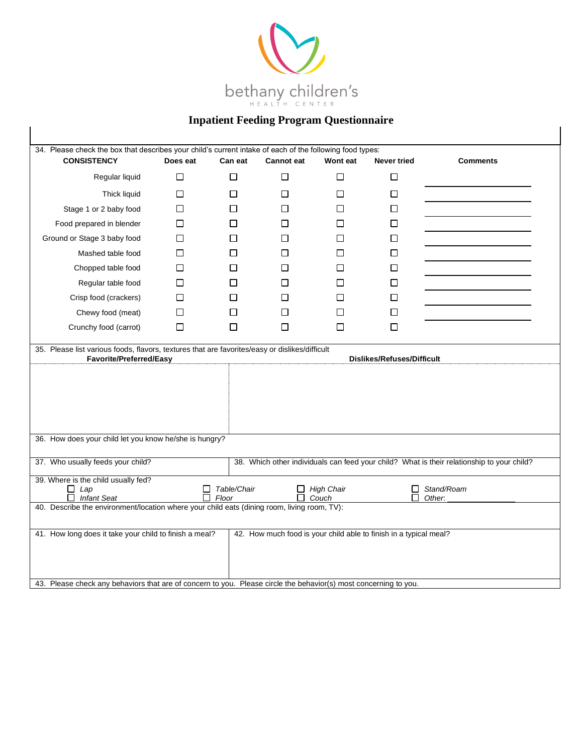

| 34. Please check the box that describes your child's current intake of each of the following food types:<br><b>CONSISTENCY</b>                                                                                                                  | Does eat | Can eat | <b>Cannot eat</b> | Wont eat     | <b>Never tried</b> | <b>Comments</b> |  |  |
|-------------------------------------------------------------------------------------------------------------------------------------------------------------------------------------------------------------------------------------------------|----------|---------|-------------------|--------------|--------------------|-----------------|--|--|
| Regular liquid                                                                                                                                                                                                                                  | $\Box$   | $\Box$  | $\Box$            | $\Box$       | $\Box$             |                 |  |  |
| Thick liquid                                                                                                                                                                                                                                    | П        | П       | П                 | П            | □                  |                 |  |  |
| Stage 1 or 2 baby food                                                                                                                                                                                                                          | $\Box$   | □       | □                 | □            | $\Box$             |                 |  |  |
| Food prepared in blender                                                                                                                                                                                                                        | $\Box$   | $\Box$  | LІ                | П            | □                  |                 |  |  |
| Ground or Stage 3 baby food                                                                                                                                                                                                                     | □        | $\Box$  | П                 | П            | $\Box$             |                 |  |  |
| Mashed table food                                                                                                                                                                                                                               | □        | □       | П                 | П            | □                  |                 |  |  |
| Chopped table food                                                                                                                                                                                                                              | □        | $\Box$  | $\mathsf{L}$      | П            | □                  |                 |  |  |
| Regular table food                                                                                                                                                                                                                              | $\Box$   | $\Box$  | $\mathsf{L}$      | $\mathsf{L}$ | □                  |                 |  |  |
| Crisp food (crackers)                                                                                                                                                                                                                           | $\Box$   | $\Box$  | $\Box$            | П            | □                  |                 |  |  |
| Chewy food (meat)                                                                                                                                                                                                                               | □        | □       | $\Box$            | □            | $\Box$             |                 |  |  |
| Crunchy food (carrot)                                                                                                                                                                                                                           | $\Box$   | $\Box$  | П                 | $\Box$       | П                  |                 |  |  |
|                                                                                                                                                                                                                                                 |          |         |                   |              |                    |                 |  |  |
| 36. How does your child let you know he/she is hungry?                                                                                                                                                                                          |          |         |                   |              |                    |                 |  |  |
| 37. Who usually feeds your child?<br>38. Which other individuals can feed your child? What is their relationship to your child?                                                                                                                 |          |         |                   |              |                    |                 |  |  |
| 39. Where is the child usually fed?<br>Table/Chair<br>$\Box$ High Chair<br>Stand/Roam<br>$\Box$ Lap<br>□<br>$\Box$<br><b>Infant Seat</b><br>П.<br>Floor<br>$\Box$ Couch<br>Other.<br>ш                                                          |          |         |                   |              |                    |                 |  |  |
| 40. Describe the environment/location where your child eats (dining room, living room, TV):                                                                                                                                                     |          |         |                   |              |                    |                 |  |  |
| 42. How much food is your child able to finish in a typical meal?<br>41. How long does it take your child to finish a meal?<br>43. Please check any behaviors that are of concern to you. Please circle the behavior(s) most concerning to you. |          |         |                   |              |                    |                 |  |  |